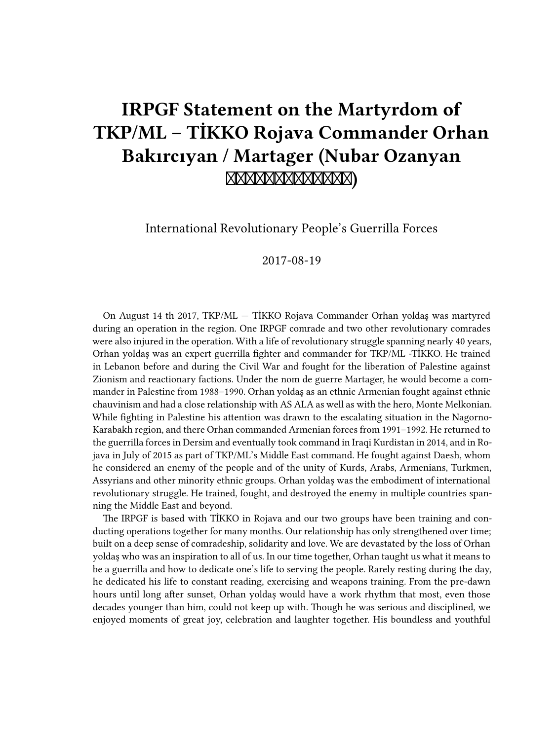# **IRPGF Statement on the Martyrdom of TKP/ML – TİKKO Rojava Commander Orhan Bakırcıyan / Martager (Nubar Ozanyan )**

International Revolutionary People's Guerrilla Forces

2017-08-19

On August 14 th 2017, TKP/ML — TİKKO Rojava Commander Orhan yoldaş was martyred during an operation in the region. One IRPGF comrade and two other revolutionary comrades were also injured in the operation. With a life of revolutionary struggle spanning nearly 40 years, Orhan yoldaş was an expert guerrilla fighter and commander for TKP/ML -TİKKO. He trained in Lebanon before and during the Civil War and fought for the liberation of Palestine against Zionism and reactionary factions. Under the nom de guerre Martager, he would become a commander in Palestine from 1988–1990. Orhan yoldaş as an ethnic Armenian fought against ethnic chauvinism and had a close relationship with AS ALA as well as with the hero, Monte Melkonian. While fighting in Palestine his attention was drawn to the escalating situation in the Nagorno-Karabakh region, and there Orhan commanded Armenian forces from 1991–1992. He returned to the guerrilla forces in Dersim and eventually took command in Iraqi Kurdistan in 2014, and in Rojava in July of 2015 as part of TKP/ML's Middle East command. He fought against Daesh, whom he considered an enemy of the people and of the unity of Kurds, Arabs, Armenians, Turkmen, Assyrians and other minority ethnic groups. Orhan yoldaş was the embodiment of international revolutionary struggle. He trained, fought, and destroyed the enemy in multiple countries spanning the Middle East and beyond.

The IRPGF is based with TİKKO in Rojava and our two groups have been training and conducting operations together for many months. Our relationship has only strengthened over time; built on a deep sense of comradeship, solidarity and love. We are devastated by the loss of Orhan yoldaş who was an inspiration to all of us. In our time together, Orhan taught us what it means to be a guerrilla and how to dedicate one's life to serving the people. Rarely resting during the day, he dedicated his life to constant reading, exercising and weapons training. From the pre-dawn hours until long after sunset, Orhan yoldaş would have a work rhythm that most, even those decades younger than him, could not keep up with. Though he was serious and disciplined, we enjoyed moments of great joy, celebration and laughter together. His boundless and youthful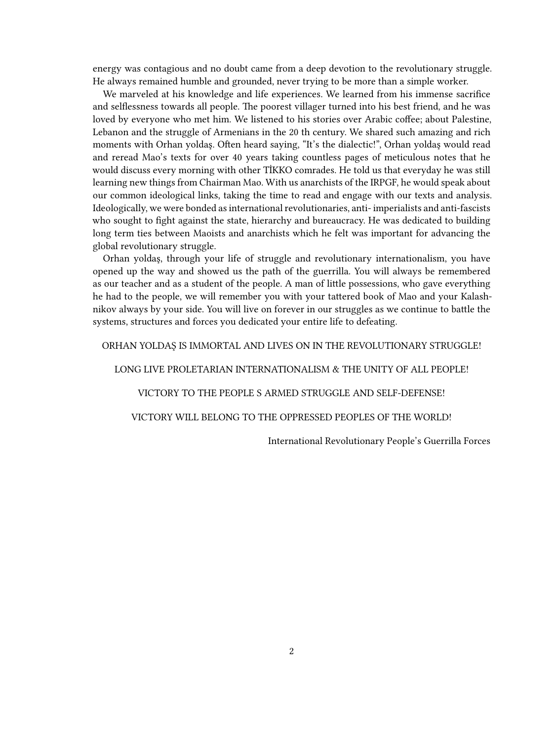energy was contagious and no doubt came from a deep devotion to the revolutionary struggle. He always remained humble and grounded, never trying to be more than a simple worker.

We marveled at his knowledge and life experiences. We learned from his immense sacrifice and selflessness towards all people. The poorest villager turned into his best friend, and he was loved by everyone who met him. We listened to his stories over Arabic coffee; about Palestine, Lebanon and the struggle of Armenians in the 20 th century. We shared such amazing and rich moments with Orhan yoldaş. Often heard saying, "It's the dialectic!", Orhan yoldaş would read and reread Mao's texts for over 40 years taking countless pages of meticulous notes that he would discuss every morning with other TİKKO comrades. He told us that everyday he was still learning new things from Chairman Mao. With us anarchists of the IRPGF, he would speak about our common ideological links, taking the time to read and engage with our texts and analysis. Ideologically, we were bonded as international revolutionaries, anti- imperialists and anti-fascists who sought to fight against the state, hierarchy and bureaucracy. He was dedicated to building long term ties between Maoists and anarchists which he felt was important for advancing the global revolutionary struggle.

Orhan yoldaş, through your life of struggle and revolutionary internationalism, you have opened up the way and showed us the path of the guerrilla. You will always be remembered as our teacher and as a student of the people. A man of little possessions, who gave everything he had to the people, we will remember you with your tattered book of Mao and your Kalashnikov always by your side. You will live on forever in our struggles as we continue to battle the systems, structures and forces you dedicated your entire life to defeating.

## ORHAN YOLDAŞ IS IMMORTAL AND LIVES ON IN THE REVOLUTIONARY STRUGGLE!

## LONG LIVE PROLETARIAN INTERNATIONALISM & THE UNITY OF ALL PEOPLE!

## VICTORY TO THE PEOPLE S ARMED STRUGGLE AND SELF-DEFENSE!

## VICTORY WILL BELONG TO THE OPPRESSED PEOPLES OF THE WORLD!

International Revolutionary People's Guerrilla Forces